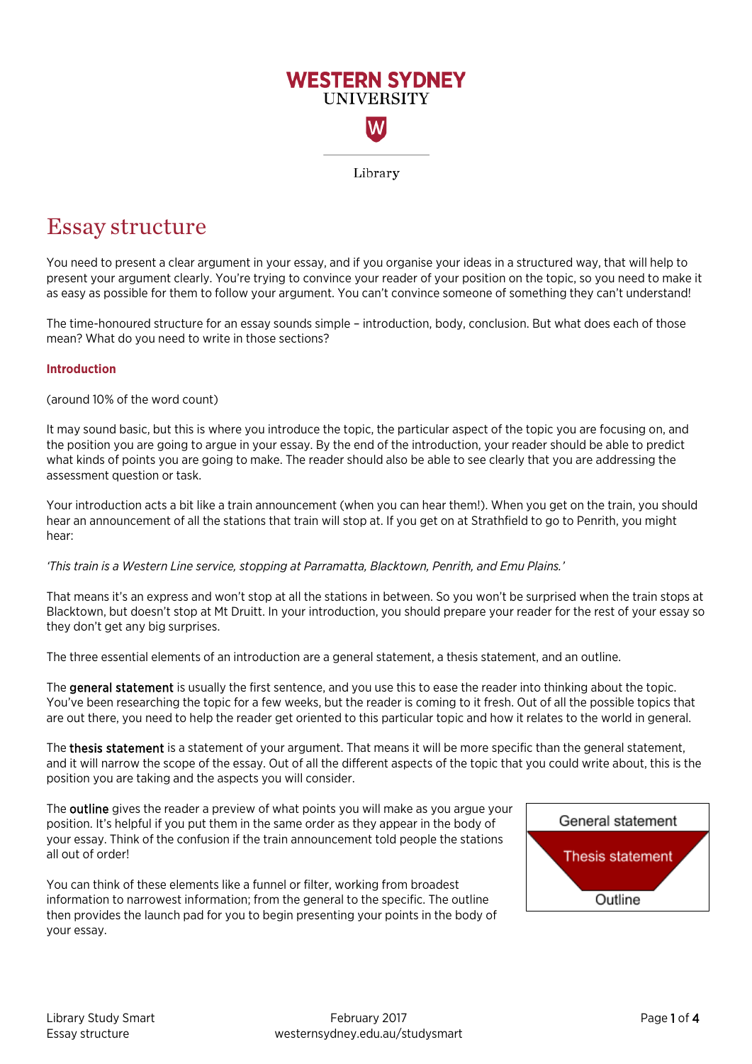

# Essay structure

You need to present a clear argument in your essay, and if you organise your ideas in a structured way, that will help to present your argument clearly. You're trying to convince your reader of your position on the topic, so you need to make it as easy as possible for them to follow your argument. You can't convince someone of something they can't understand!

The time-honoured structure for an essay sounds simple – introduction, body, conclusion. But what does each of those mean? What do you need to write in those sections?

# **Introduction**

(around 10% of the word count)

It may sound basic, but this is where you introduce the topic, the particular aspect of the topic you are focusing on, and the position you are going to argue in your essay. By the end of the introduction, your reader should be able to predict what kinds of points you are going to make. The reader should also be able to see clearly that you are addressing the assessment question or task.

Your introduction acts a bit like a train announcement (when you can hear them!). When you get on the train, you should hear an announcement of all the stations that train will stop at. If you get on at Strathfield to go to Penrith, you might hear:

*'This train is a Western Line service, stopping at Parramatta, Blacktown, Penrith, and Emu Plains.'*

That means it's an express and won't stop at all the stations in between. So you won't be surprised when the train stops at Blacktown, but doesn't stop at Mt Druitt. In your introduction, you should prepare your reader for the rest of your essay so they don't get any big surprises.

The three essential elements of an introduction are a general statement, a thesis statement, and an outline.

The general statement is usually the first sentence, and you use this to ease the reader into thinking about the topic. You've been researching the topic for a few weeks, but the reader is coming to it fresh. Out of all the possible topics that are out there, you need to help the reader get oriented to this particular topic and how it relates to the world in general.

The thesis statement is a statement of your argument. That means it will be more specific than the general statement, and it will narrow the scope of the essay. Out of all the different aspects of the topic that you could write about, this is the position you are taking and the aspects you will consider.

The **outline** gives the reader a preview of what points you will make as you argue your position. It's helpful if you put them in the same order as they appear in the body of your essay. Think of the confusion if the train announcement told people the stations all out of order!

You can think of these elements like a funnel or filter, working from broadest information to narrowest information; from the general to the specific. The outline then provides the launch pad for you to begin presenting your points in the body of your essay.

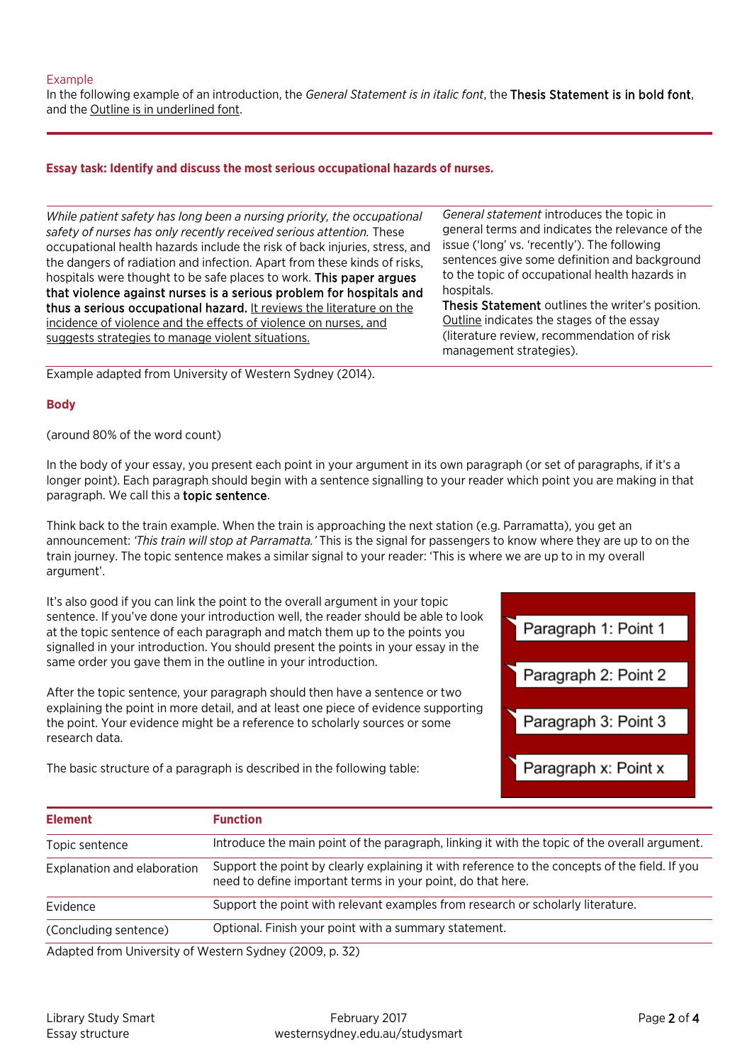### Example

In the following example of an introduction, the *General Statement is in italic font*, the Thesis Statement is in bold font, and the Outline is in underlined font.

### **Essay task: Identify and discuss the most serious occupational hazards of nurses.**

*While patient safety has long been a nursing priority, the occupational safety of nurses has only recently received serious attention.* These occupational health hazards include the risk of back injuries, stress, and the dangers of radiation and infection. Apart from these kinds of risks, hospitals were thought to be safe places to work. This paper argues that violence against nurses is a serious problem for hospitals and thus a serious occupational hazard. It reviews the literature on the incidence of violence and the effects of violence on nurses, and suggests strategies to manage violent situations.

Example adapted from University of Western Sydney (2014).

#### **Body**

(around 80% of the word count)

In the body of your essay, you present each point in your argument in its own paragraph (or set of paragraphs, if it's a longer point). Each paragraph should begin with a sentence signalling to your reader which point you are making in that paragraph. We call this a topic sentence.

Think back to the train example. When the train is approaching the next station (e.g. Parramatta), you get an announcement: *'This train will stop at Parramatta.'* This is the signal for passengers to know where they are up to on the train journey. The topic sentence makes a similar signal to your reader: 'This is where we are up to in my overall argument'.

It's also good if you can link the point to the overall argument in your topic sentence. If you've done your introduction well, the reader should be able to look at the topic sentence of each paragraph and match them up to the points you signalled in your introduction. You should present the points in your essay in the same order you gave them in the outline in your introduction.

After the topic sentence, your paragraph should then have a sentence or two explaining the point in more detail, and at least one piece of evidence supporting the point. Your evidence might be a reference to scholarly sources or some research data.

The basic structure of a paragraph is described in the following table:

*General statement* introduces the topic in general terms and indicates the relevance of the issue ('long' vs. 'recently'). The following sentences give some definition and background to the topic of occupational health hazards in hospitals.

Thesis Statement outlines the writer's position. Outline indicates the stages of the essay (literature review, recommendation of risk management strategies).



| <b>Element</b>                                        | <b>Function</b>                                                                                                                                               |
|-------------------------------------------------------|---------------------------------------------------------------------------------------------------------------------------------------------------------------|
| Topic sentence                                        | Introduce the main point of the paragraph, linking it with the topic of the overall argument.                                                                 |
| Explanation and elaboration                           | Support the point by clearly explaining it with reference to the concepts of the field. If you<br>need to define important terms in your point, do that here. |
| Evidence                                              | Support the point with relevant examples from research or scholarly literature.                                                                               |
| (Concluding sentence)                                 | Optional. Finish your point with a summary statement.                                                                                                         |
| Adapted from University of Western Sydney (2009 n 32) |                                                                                                                                                               |

Adapted from University of Western Sydney (2009, p. 32)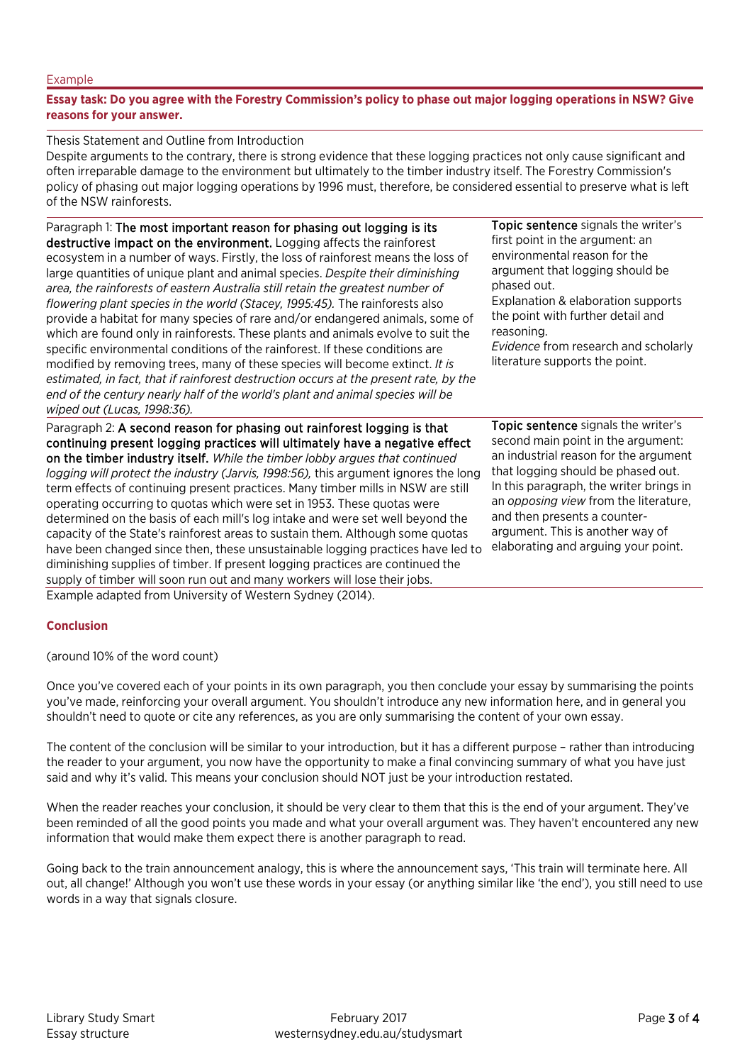#### Example

### **Essay task: Do you agree with the Forestry Commission's policy to phase out major logging operations in NSW? Give reasons for your answer.**

Thesis Statement and Outline from Introduction

Despite arguments to the contrary, there is strong evidence that these logging practices not only cause significant and often irreparable damage to the environment but ultimately to the timber industry itself. The Forestry Commission's policy of phasing out major logging operations by 1996 must, therefore, be considered essential to preserve what is left of the NSW rainforests.

Paragraph 1: The most important reason for phasing out logging is its destructive impact on the environment. Logging affects the rainforest ecosystem in a number of ways. Firstly, the loss of rainforest means the loss of large quantities of unique plant and animal species. *Despite their diminishing area, the rainforests of eastern Australia still retain the greatest number of flowering plant species in the world (Stacey, 1995:45).* The rainforests also provide a habitat for many species of rare and/or endangered animals, some of which are found only in rainforests. These plants and animals evolve to suit the specific environmental conditions of the rainforest. If these conditions are modified by removing trees, many of these species will become extinct. *It is estimated, in fact, that if rainforest destruction occurs at the present rate, by the end of the century nearly half of the world's plant and animal species will be wiped out (Lucas, 1998:36).*

Paragraph 2: A second reason for phasing out rainforest logging is that continuing present logging practices will ultimately have a negative effect on the timber industry itself. *While the timber lobby argues that continued logging will protect the industry (Jarvis, 1998:56),* this argument ignores the long term effects of continuing present practices. Many timber mills in NSW are still operating occurring to quotas which were set in 1953. These quotas were determined on the basis of each mill's log intake and were set well beyond the capacity of the State's rainforest areas to sustain them. Although some quotas have been changed since then, these unsustainable logging practices have led to elaborating and arguing your point. diminishing supplies of timber. If present logging practices are continued the supply of timber will soon run out and many workers will lose their jobs. Example adapted from University of Western Sydney (2014).

Topic sentence signals the writer's first point in the argument: an environmental reason for the argument that logging should be phased out. Explanation & elaboration supports the point with further detail and reasoning. *Evidence* from research and scholarly

literature supports the point.

Topic sentence signals the writer's second main point in the argument: an industrial reason for the argument that logging should be phased out. In this paragraph, the writer brings in an *opposing view* from the literature, and then presents a counterargument. This is another way of

# **Conclusion**

(around 10% of the word count)

Once you've covered each of your points in its own paragraph, you then conclude your essay by summarising the points you've made, reinforcing your overall argument. You shouldn't introduce any new information here, and in general you shouldn't need to quote or cite any references, as you are only summarising the content of your own essay.

The content of the conclusion will be similar to your introduction, but it has a different purpose – rather than introducing the reader to your argument, you now have the opportunity to make a final convincing summary of what you have just said and why it's valid. This means your conclusion should NOT just be your introduction restated.

When the reader reaches your conclusion, it should be very clear to them that this is the end of your argument. They've been reminded of all the good points you made and what your overall argument was. They haven't encountered any new information that would make them expect there is another paragraph to read.

Going back to the train announcement analogy, this is where the announcement says, 'This train will terminate here. All out, all change!' Although you won't use these words in your essay (or anything similar like 'the end'), you still need to use words in a way that signals closure.